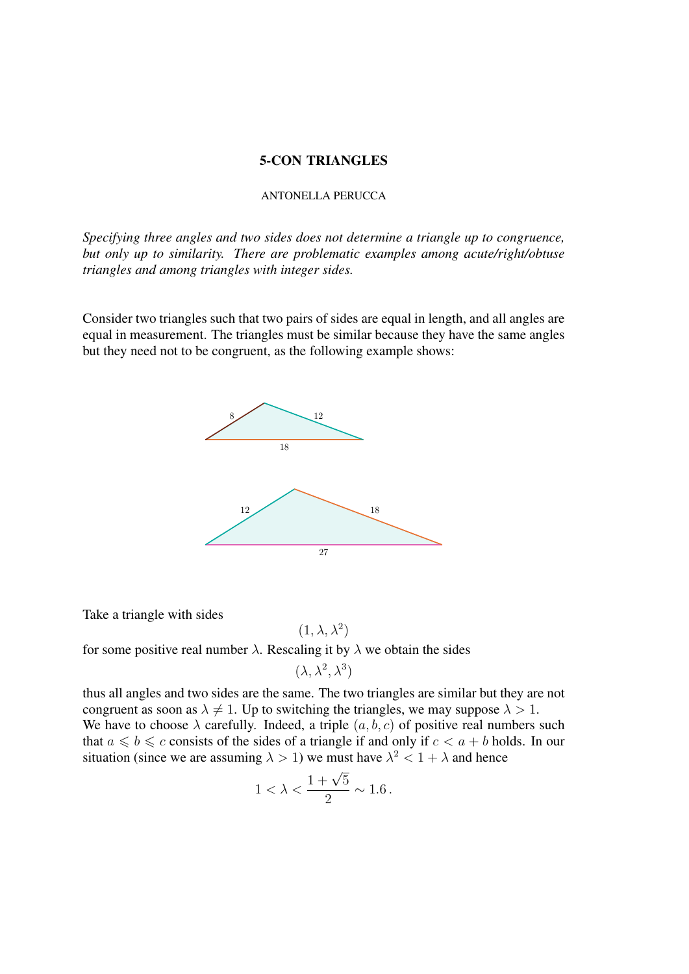## 5-CON TRIANGLES

## ANTONELLA PERUCCA

*Specifying three angles and two sides does not determine a triangle up to congruence, but only up to similarity. There are problematic examples among acute/right/obtuse triangles and among triangles with integer sides.*

Consider two triangles such that two pairs of sides are equal in length, and all angles are equal in measurement. The triangles must be similar because they have the same angles but they need not to be congruent, as the following example shows:



Take a triangle with sides

for some positive real number  $\lambda$ . Rescaling it by  $\lambda$  we obtain the sides

$$
(\lambda, \lambda^2, \lambda^3)
$$

 $(1, \lambda, \lambda^2)$ 

thus all angles and two sides are the same. The two triangles are similar but they are not congruent as soon as  $\lambda \neq 1$ . Up to switching the triangles, we may suppose  $\lambda > 1$ . We have to choose  $\lambda$  carefully. Indeed, a triple  $(a, b, c)$  of positive real numbers such that  $a \leq b \leq c$  consists of the sides of a triangle if and only if  $c < a + b$  holds. In our situation (since we are assuming  $\lambda > 1$ ) we must have  $\lambda^2 < 1 + \lambda$  and hence

$$
1 < \lambda < \frac{1+\sqrt{5}}{2} \sim 1.6 \, .
$$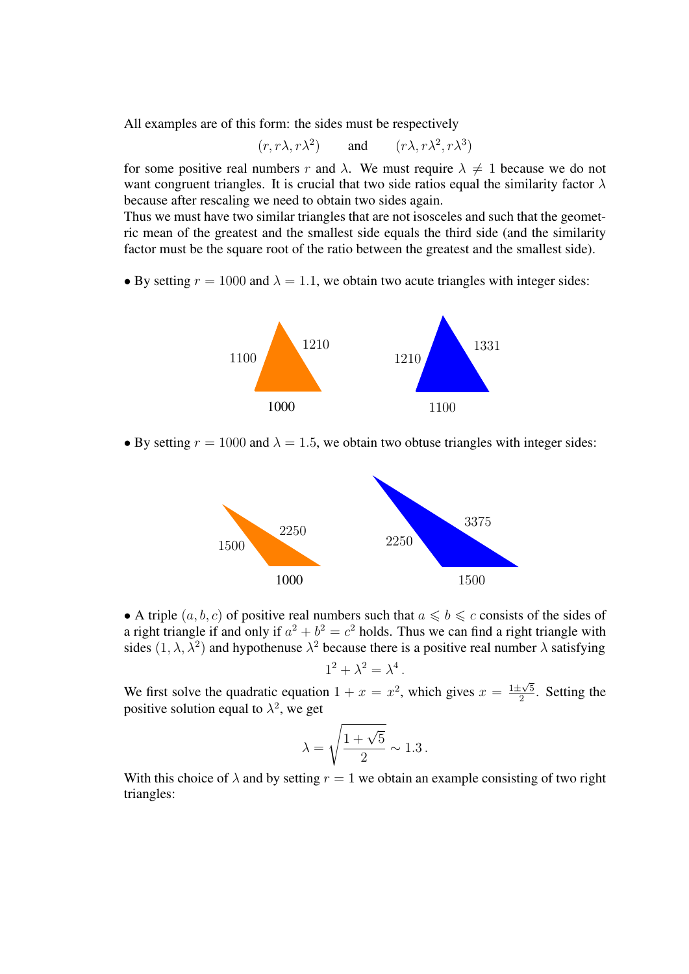All examples are of this form: the sides must be respectively

$$
(r, r\lambda, r\lambda^2)
$$
 and  $(r\lambda, r\lambda^2, r\lambda^3)$ 

for some positive real numbers r and  $\lambda$ . We must require  $\lambda \neq 1$  because we do not want congruent triangles. It is crucial that two side ratios equal the similarity factor  $\lambda$ because after rescaling we need to obtain two sides again.

Thus we must have two similar triangles that are not isosceles and such that the geometric mean of the greatest and the smallest side equals the third side (and the similarity factor must be the square root of the ratio between the greatest and the smallest side).

• By setting  $r = 1000$  and  $\lambda = 1.1$ , we obtain two acute triangles with integer sides:



• By setting  $r = 1000$  and  $\lambda = 1.5$ , we obtain two obtuse triangles with integer sides:



• A triple  $(a, b, c)$  of positive real numbers such that  $a \leq b \leq c$  consists of the sides of a right triangle if and only if  $a^2 + b^2 = c^2$  holds. Thus we can find a right triangle with sides  $(1, \lambda, \lambda^2)$  and hypothenuse  $\lambda^2$  because there is a positive real number  $\lambda$  satisfying

$$
1^2 + \lambda^2 = \lambda^4.
$$

We first solve the quadratic equation  $1 + x = x^2$ , which gives  $x = \frac{1 \pm \sqrt{5}}{2}$  $\frac{2}{2}$ . Setting the positive solution equal to  $\lambda^2$ , we get

$$
\lambda = \sqrt{\frac{1+\sqrt{5}}{2}} \sim 1.3 \, .
$$

With this choice of  $\lambda$  and by setting  $r = 1$  we obtain an example consisting of two right triangles: